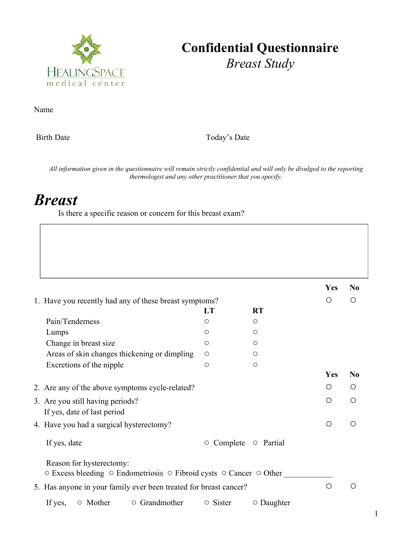

## **Confidential Questionnaire** *Breast Study*

Name

Birth Date Today's Date

All information given in the questionnaire will remain strictly confidential and will only be divulged to the reporting *thermologist and any other practitioner that you specify.*

## *Breast*

Is there a specific reason or concern for this breast exam?

|                                                                                                                              |                |                  | Yes | N <sub>0</sub>                                |
|------------------------------------------------------------------------------------------------------------------------------|----------------|------------------|-----|-----------------------------------------------|
| 1. Have you recently had any of these breast symptoms?                                                                       |                |                  | O   | ◯                                             |
|                                                                                                                              | LT             | <b>RT</b>        |     |                                               |
| Pain/Tenderness                                                                                                              | O              | $\circ$          |     |                                               |
| Lumps                                                                                                                        | O              | $\bigcirc$       |     |                                               |
| Change in breast size                                                                                                        | O              | $\bigcirc$       |     |                                               |
| Areas of skin changes thickening or dimpling                                                                                 | $\circ$        | $\bigcirc$       |     |                                               |
| Excretions of the nipple                                                                                                     | $\circ$        | $\circ$          |     |                                               |
|                                                                                                                              |                |                  | Yes | No                                            |
| 2. Are any of the above symptoms cycle-related?                                                                              |                |                  | Ω   | $\left( \right)$                              |
| 3. Are you still having periods?                                                                                             |                |                  | Ω   | $\bigcirc$                                    |
| If yes, date of last period                                                                                                  |                |                  |     |                                               |
| 4. Have you had a surgical hysterectomy?                                                                                     |                |                  | O   | ◯                                             |
| If yes, date                                                                                                                 | Complete<br>О  | $\circ$ Partial  |     |                                               |
| Reason for hysterectomy:<br>$\circ$ Excess bleeding $\circ$ Endometriosis $\circ$ Fibroid cysts $\circ$ Cancer $\circ$ Other |                |                  |     |                                               |
| 5. Has anyone in your family ever been treated for breast cancer?                                                            |                |                  |     | $\left(\begin{array}{c} 1 \end{array}\right)$ |
| If yes,<br>$\circ$ Mother<br>$\circ$ Grandmother                                                                             | $\circ$ Sister | $\circ$ Daughter |     |                                               |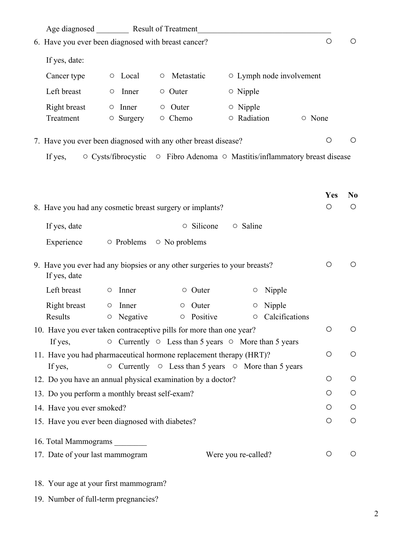| Age diagnosed ___________ Result of Treatment                                                                                                           |                                         |                         |                                |            |                |
|---------------------------------------------------------------------------------------------------------------------------------------------------------|-----------------------------------------|-------------------------|--------------------------------|------------|----------------|
| 6. Have you ever been diagnosed with breast cancer?                                                                                                     |                                         |                         |                                | $\circ$    | $\circ$        |
| If yes, date:                                                                                                                                           |                                         |                         |                                |            |                |
| Cancer type<br>$\circ$ Local<br>$\circ$                                                                                                                 | Metastatic                              |                         | $\circ$ Lymph node involvement |            |                |
| Left breast<br>$\circ$ Outer<br>Inner<br>$\circ$                                                                                                        |                                         | $\circ$ Nipple          |                                |            |                |
| Right breast<br>$\circ$ Inner<br>Outer<br>$\circ$<br>Treatment<br>○ Chemo<br>$\circ$ Surgery                                                            |                                         | o Nipple<br>O Radiation |                                | ○ None     |                |
| 7. Have you ever been diagnosed with any other breast disease?                                                                                          |                                         |                         |                                | $\bigcirc$ | $\bigcirc$     |
| ○ Cysts/fibrocystic ○ Fibro Adenoma ○ Mastitis/inflammatory breast disease<br>If yes,                                                                   |                                         |                         |                                |            |                |
|                                                                                                                                                         |                                         |                         |                                |            |                |
|                                                                                                                                                         |                                         |                         |                                | Yes        | N <sub>0</sub> |
| 8. Have you had any cosmetic breast surgery or implants?                                                                                                |                                         |                         |                                | $\bigcirc$ | $\circ$        |
| If yes, date                                                                                                                                            | ○ Silicone                              | $\circ$ Saline          |                                |            |                |
| Experience<br>$\circ$ Problems                                                                                                                          | $\circ$ No problems                     |                         |                                |            |                |
| 9. Have you ever had any biopsies or any other surgeries to your breasts?<br>If yes, date                                                               |                                         |                         |                                | $\bigcirc$ | O              |
| Left breast<br>Inner<br>$\circ$                                                                                                                         | $\circ$ Outer                           | O                       | Nipple                         |            |                |
| Right breast<br>Inner<br>$\circ$<br>Results<br>Negative<br>$\bigcirc$                                                                                   | Outer<br>$\circ$<br>Positive<br>$\circ$ | O<br>O                  | Nipple<br>Calcifications       |            |                |
| 10. Have you ever taken contraceptive pills for more than one year?<br>$\circ$ Currently $\circ$ Less than 5 years $\circ$ More than 5 years<br>If yes, |                                         |                         |                                | $\bigcirc$ | O              |
| 11. Have you had pharmaceutical hormone replacement therapy (HRT)?                                                                                      |                                         |                         |                                | $\bigcirc$ | O              |
| $\circ$ Currently $\circ$ Less than 5 years $\circ$ More than 5 years<br>If yes,                                                                        |                                         |                         |                                |            |                |
| 12. Do you have an annual physical examination by a doctor?                                                                                             |                                         |                         |                                | O          | O              |
| 13. Do you perform a monthly breast self-exam?                                                                                                          |                                         |                         |                                | O          | $\circ$        |
| 14. Have you ever smoked?                                                                                                                               |                                         |                         |                                | O          | O              |
| 15. Have you ever been diagnosed with diabetes?                                                                                                         |                                         |                         |                                | O          | $\bigcirc$     |
| 16. Total Mammograms                                                                                                                                    |                                         |                         |                                |            |                |
| 17. Date of your last mammogram                                                                                                                         |                                         | Were you re-called?     |                                | $\bigcirc$ | O              |
| 18. Your age at your first mammogram?                                                                                                                   |                                         |                         |                                |            |                |

19. Number of full-term pregnancies?